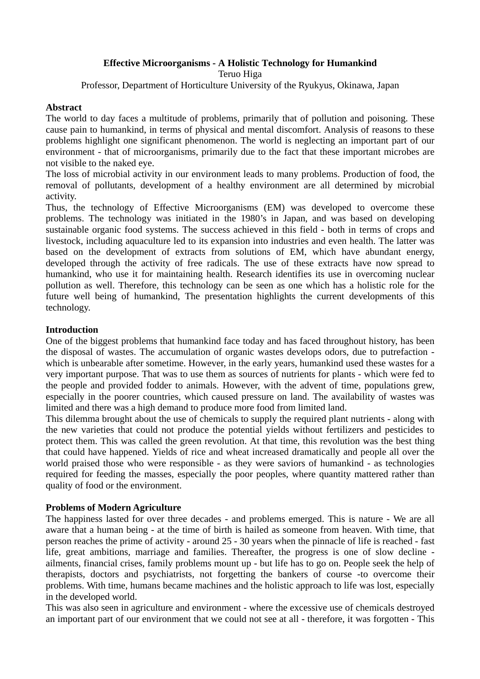# **Effective Microorganisms - A Holistic Technology for Humankind**

Teruo Higa

Professor, Department of Horticulture University of the Ryukyus, Okinawa, Japan

#### **Abstract**

The world to day faces a multitude of problems, primarily that of pollution and poisoning. These cause pain to humankind, in terms of physical and mental discomfort. Analysis of reasons to these problems highlight one significant phenomenon. The world is neglecting an important part of our environment - that of microorganisms, primarily due to the fact that these important microbes are not visible to the naked eye.

The loss of microbial activity in our environment leads to many problems. Production of food, the removal of pollutants, development of a healthy environment are all determined by microbial activity.

Thus, the technology of Effective Microorganisms (EM) was developed to overcome these problems. The technology was initiated in the 1980's in Japan, and was based on developing sustainable organic food systems. The success achieved in this field - both in terms of crops and livestock, including aquaculture led to its expansion into industries and even health. The latter was based on the development of extracts from solutions of EM, which have abundant energy, developed through the activity of free radicals. The use of these extracts have now spread to humankind, who use it for maintaining health. Research identifies its use in overcoming nuclear pollution as well. Therefore, this technology can be seen as one which has a holistic role for the future well being of humankind, The presentation highlights the current developments of this technology.

### **Introduction**

One of the biggest problems that humankind face today and has faced throughout history, has been the disposal of wastes. The accumulation of organic wastes develops odors, due to putrefaction which is unbearable after sometime. However, in the early years, humankind used these wastes for a very important purpose. That was to use them as sources of nutrients for plants - which were fed to the people and provided fodder to animals. However, with the advent of time, populations grew, especially in the poorer countries, which caused pressure on land. The availability of wastes was limited and there was a high demand to produce more food from limited land.

This dilemma brought about the use of chemicals to supply the required plant nutrients - along with the new varieties that could not produce the potential yields without fertilizers and pesticides to protect them. This was called the green revolution. At that time, this revolution was the best thing that could have happened. Yields of rice and wheat increased dramatically and people all over the world praised those who were responsible - as they were saviors of humankind - as technologies required for feeding the masses, especially the poor peoples, where quantity mattered rather than quality of food or the environment.

#### **Problems of Modern Agriculture**

The happiness lasted for over three decades - and problems emerged. This is nature - We are all aware that a human being - at the time of birth is hailed as someone from heaven. With time, that person reaches the prime of activity - around 25 - 30 years when the pinnacle of life is reached - fast life, great ambitions, marriage and families. Thereafter, the progress is one of slow decline ailments, financial crises, family problems mount up - but life has to go on. People seek the help of therapists, doctors and psychiatrists, not forgetting the bankers of course -to overcome their problems. With time, humans became machines and the holistic approach to life was lost, especially in the developed world.

This was also seen in agriculture and environment - where the excessive use of chemicals destroyed an important part of our environment that we could not see at all - therefore, it was forgotten - This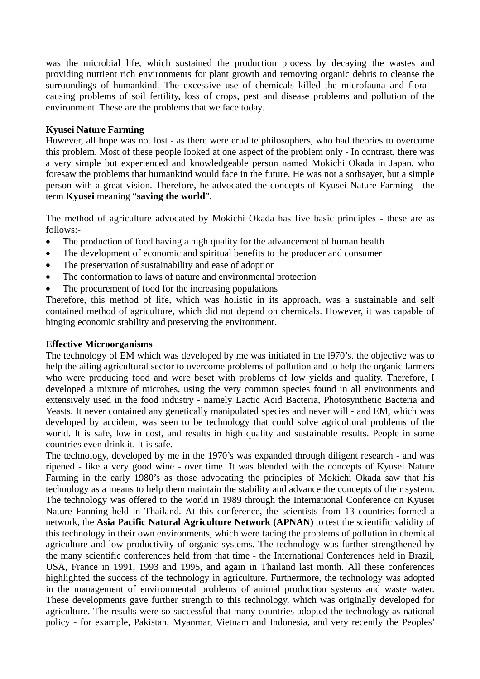was the microbial life, which sustained the production process by decaying the wastes and providing nutrient rich environments for plant growth and removing organic debris to cleanse the surroundings of humankind. The excessive use of chemicals killed the microfauna and flora causing problems of soil fertility, loss of crops, pest and disease problems and pollution of the environment. These are the problems that we face today.

### **Kyusei Nature Farming**

However, all hope was not lost - as there were erudite philosophers, who had theories to overcome this problem. Most of these people looked at one aspect of the problem only - In contrast, there was a very simple but experienced and knowledgeable person named Mokichi Okada in Japan, who foresaw the problems that humankind would face in the future. He was not a sothsayer, but a simple person with a great vision. Therefore, he advocated the concepts of Kyusei Nature Farming - the term **Kyusei** meaning "**saving the world**".

The method of agriculture advocated by Mokichi Okada has five basic principles - these are as follows:-

- The production of food having a high quality for the advancement of human health
- The development of economic and spiritual benefits to the producer and consumer
- The preservation of sustainability and ease of adoption
- The conformation to laws of nature and environmental protection
- The procurement of food for the increasing populations

Therefore, this method of life, which was holistic in its approach, was a sustainable and self contained method of agriculture, which did not depend on chemicals. However, it was capable of binging economic stability and preserving the environment.

#### **Effective Microorganisms**

The technology of EM which was developed by me was initiated in the l970's. the objective was to help the ailing agricultural sector to overcome problems of pollution and to help the organic farmers who were producing food and were beset with problems of low yields and quality. Therefore, I developed a mixture of microbes, using the very common species found in all environments and extensively used in the food industry - namely Lactic Acid Bacteria, Photosynthetic Bacteria and Yeasts. It never contained any genetically manipulated species and never will - and EM, which was developed by accident, was seen to be technology that could solve agricultural problems of the world. It is safe, low in cost, and results in high quality and sustainable results. People in some countries even drink it. It is safe.

The technology, developed by me in the 1970's was expanded through diligent research - and was ripened - like a very good wine - over time. It was blended with the concepts of Kyusei Nature Farming in the early 1980's as those advocating the principles of Mokichi Okada saw that his technology as a means to help them maintain the stability and advance the concepts of their system. The technology was offered to the world in 1989 through the International Conference on Kyusei Nature Fanning held in Thailand. At this conference, the scientists from 13 countries formed a network, the **Asia Pacific Natural Agriculture Network (APNAN)** to test the scientific validity of this technology in their own environments, which were facing the problems of pollution in chemical agriculture and low productivity of organic systems. The technology was further strengthened by the many scientific conferences held from that time - the International Conferences held in Brazil, USA, France in 1991, 1993 and 1995, and again in Thailand last month. All these conferences highlighted the success of the technology in agriculture. Furthermore, the technology was adopted in the management of environmental problems of animal production systems and waste water. These developments gave further strength to this technology, which was originally developed for agriculture. The results were so successful that many countries adopted the technology as national policy - for example, Pakistan, Myanmar, Vietnam and Indonesia, and very recently the Peoples'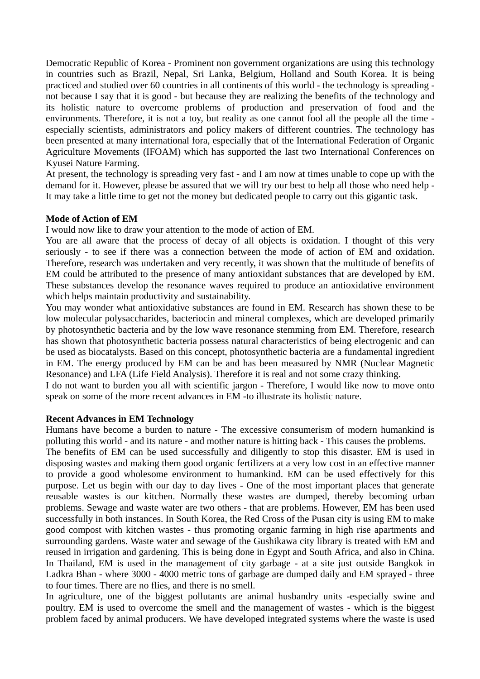Democratic Republic of Korea - Prominent non government organizations are using this technology in countries such as Brazil, Nepal, Sri Lanka, Belgium, Holland and South Korea. It is being practiced and studied over 60 countries in all continents of this world - the technology is spreading not because I say that it is good - but because they are realizing the benefits of the technology and its holistic nature to overcome problems of production and preservation of food and the environments. Therefore, it is not a toy, but reality as one cannot fool all the people all the time especially scientists, administrators and policy makers of different countries. The technology has been presented at many international fora, especially that of the International Federation of Organic Agriculture Movements (IFOAM) which has supported the last two International Conferences on Kyusei Nature Farming.

At present, the technology is spreading very fast - and I am now at times unable to cope up with the demand for it. However, please be assured that we will try our best to help all those who need help - It may take a little time to get not the money but dedicated people to carry out this gigantic task.

#### **Mode of Action of EM**

I would now like to draw your attention to the mode of action of EM.

You are all aware that the process of decay of all objects is oxidation. I thought of this very seriously - to see if there was a connection between the mode of action of EM and oxidation. Therefore, research was undertaken and very recently, it was shown that the multitude of benefits of EM could be attributed to the presence of many antioxidant substances that are developed by EM. These substances develop the resonance waves required to produce an antioxidative environment which helps maintain productivity and sustainability.

You may wonder what antioxidative substances are found in EM. Research has shown these to be low molecular polysaccharides, bacteriocin and mineral complexes, which are developed primarily by photosynthetic bacteria and by the low wave resonance stemming from EM. Therefore, research has shown that photosynthetic bacteria possess natural characteristics of being electrogenic and can be used as biocatalysts. Based on this concept, photosynthetic bacteria are a fundamental ingredient in EM. The energy produced by EM can be and has been measured by NMR (Nuclear Magnetic Resonance) and LFA (Life Field Analysis). Therefore it is real and not some crazy thinking.

I do not want to burden you all with scientific jargon - Therefore, I would like now to move onto speak on some of the more recent advances in EM -to illustrate its holistic nature.

#### **Recent Advances in EM Technology**

Humans have become a burden to nature - The excessive consumerism of modern humankind is polluting this world - and its nature - and mother nature is hitting back - This causes the problems.

The benefits of EM can be used successfully and diligently to stop this disaster. EM is used in disposing wastes and making them good organic fertilizers at a very low cost in an effective manner to provide a good wholesome environment to humankind. EM can be used effectively for this purpose. Let us begin with our day to day lives - One of the most important places that generate reusable wastes is our kitchen. Normally these wastes are dumped, thereby becoming urban problems. Sewage and waste water are two others - that are problems. However, EM has been used successfully in both instances. In South Korea, the Red Cross of the Pusan city is using EM to make good compost with kitchen wastes - thus promoting organic farming in high rise apartments and surrounding gardens. Waste water and sewage of the Gushikawa city library is treated with EM and reused in irrigation and gardening. This is being done in Egypt and South Africa, and also in China. In Thailand, EM is used in the management of city garbage - at a site just outside Bangkok in Ladkra Bhan - where 3000 - 4000 metric tons of garbage are dumped daily and EM sprayed - three to four times. There are no flies, and there is no smell.

In agriculture, one of the biggest pollutants are animal husbandry units -especially swine and poultry. EM is used to overcome the smell and the management of wastes - which is the biggest problem faced by animal producers. We have developed integrated systems where the waste is used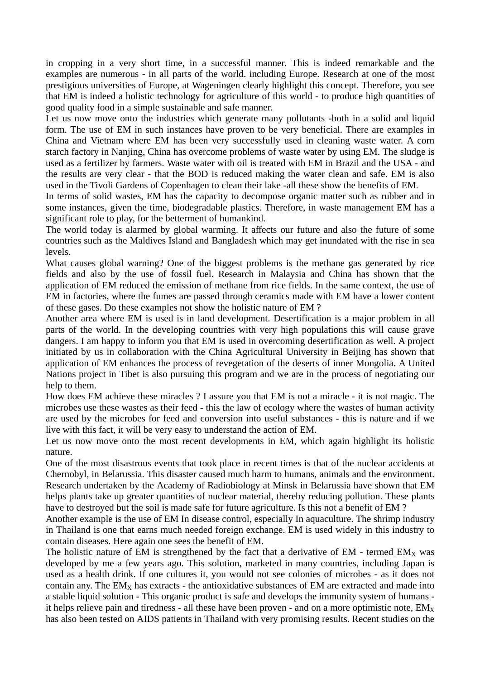in cropping in a very short time, in a successful manner. This is indeed remarkable and the examples are numerous - in all parts of the world. including Europe. Research at one of the most prestigious universities of Europe, at Wageningen clearly highlight this concept. Therefore, you see that EM is indeed a holistic technology for agriculture of this world - to produce high quantities of good quality food in a simple sustainable and safe manner.

Let us now move onto the industries which generate many pollutants -both in a solid and liquid form. The use of EM in such instances have proven to be very beneficial. There are examples in China and Vietnam where EM has been very successfully used in cleaning waste water. A corn starch factory in Nanjing, China has overcome problems of waste water by using EM. The sludge is used as a fertilizer by farmers. Waste water with oil is treated with EM in Brazil and the USA - and the results are very clear - that the BOD is reduced making the water clean and safe. EM is also used in the Tivoli Gardens of Copenhagen to clean their lake -all these show the benefits of EM.

In terms of solid wastes, EM has the capacity to decompose organic matter such as rubber and in some instances, given the time, biodegradable plastics. Therefore, in waste management EM has a significant role to play, for the betterment of humankind.

The world today is alarmed by global warming. It affects our future and also the future of some countries such as the Maldives Island and Bangladesh which may get inundated with the rise in sea levels.

What causes global warning? One of the biggest problems is the methane gas generated by rice fields and also by the use of fossil fuel. Research in Malaysia and China has shown that the application of EM reduced the emission of methane from rice fields. In the same context, the use of EM in factories, where the fumes are passed through ceramics made with EM have a lower content of these gases. Do these examples not show the holistic nature of EM ?

Another area where EM is used is in land development. Desertification is a major problem in all parts of the world. In the developing countries with very high populations this will cause grave dangers. I am happy to inform you that EM is used in overcoming desertification as well. A project initiated by us in collaboration with the China Agricultural University in Beijing has shown that application of EM enhances the process of revegetation of the deserts of inner Mongolia. A United Nations project in Tibet is also pursuing this program and we are in the process of negotiating our help to them.

How does EM achieve these miracles ? I assure you that EM is not a miracle - it is not magic. The microbes use these wastes as their feed - this the law of ecology where the wastes of human activity are used by the microbes for feed and conversion into useful substances - this is nature and if we live with this fact, it will be very easy to understand the action of EM.

Let us now move onto the most recent developments in EM, which again highlight its holistic nature.

One of the most disastrous events that took place in recent times is that of the nuclear accidents at Chernobyl, in Belarussia. This disaster caused much harm to humans, animals and the environment. Research undertaken by the Academy of Radiobiology at Minsk in Belarussia have shown that EM helps plants take up greater quantities of nuclear material, thereby reducing pollution. These plants have to destroyed but the soil is made safe for future agriculture. Is this not a benefit of EM ?

Another example is the use of EM In disease control, especially In aquaculture. The shrimp industry in Thailand is one that earns much needed foreign exchange. EM is used widely in this industry to contain diseases. Here again one sees the benefit of EM.

The holistic nature of EM is strengthened by the fact that a derivative of EM - termed  $EM<sub>x</sub>$  was developed by me a few years ago. This solution, marketed in many countries, including Japan is used as a health drink. If one cultures it, you would not see colonies of microbes - as it does not contain any. The  $EM_X$  has extracts - the antioxidative substances of EM are extracted and made into a stable liquid solution - This organic product is safe and develops the immunity system of humans it helps relieve pain and tiredness - all these have been proven - and on a more optimistic note,  $EM_X$ has also been tested on AIDS patients in Thailand with very promising results. Recent studies on the